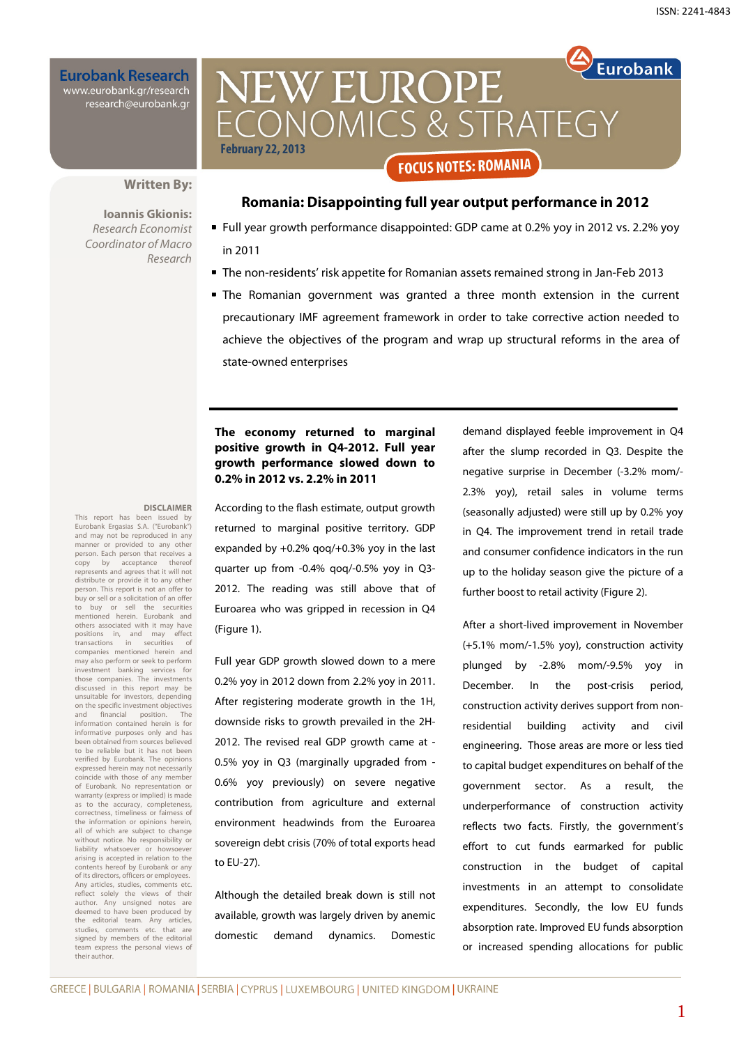**Eurobank Research** www.eurobank.gr/research<br>research@eurobank.gr

# Eurobank **NEW EUROPE** ONOMICS & STRATEGY **February 22, 2013 FOCUS NOTES: ROMANIA**

## **Written By:**

**DISCLAIMER** 

This report has been issued by Eurobank Ergasias S.A. ("Eurobank") and may not be reproduced in any manner or provided to any other person. Each person that receives a<br>copy by acceptance thereof acceptance represents and agrees that it will not distribute or provide it to any other person. This report is not an offer to buy or sell or a solicitation of an offer to buy or sell the securities mentioned herein. Eurobank and others associated with it may have<br>positions in, and may effect positions in, and may transactions in securities of companies mentioned herein and may also perform or seek to perform investment banking services for those companies. The investments discussed in this report may be unsuitable for investors, depending on the specific investment objectives and financial position. The information contained herein is for informative purposes only and has been obtained from sources believed to be reliable but it has not been verified by Eurobank. The opinions expressed herein may not necessarily coincide with those of any member of Eurobank. No representation or warranty (express or implied) is made as to the accuracy, completeness, correctness, timeliness or fairness of the information or opinions herein, all of which are subject to change without notice. No responsibility or liability whatsoever or howso arising is accepted in relation to the contents hereof by Eurobank or any of its directors, officers or employees. Any articles, studies, comments etc. reflect solely the views of their author. Any unsigned notes are deemed to have been produced by the editorial team. Any articles, studies, comments etc. that are signed by members of the editorial team express the personal views of

their author.

**Ioannis Gkionis:**  Research Economist Coordinator of Macro Research

### **Romania: Disappointing full year output performance in 2012**

- Full year growth performance disappointed: GDP came at 0.2% yoy in 2012 vs. 2.2% yoy in 2011
- The non-residents' risk appetite for Romanian assets remained strong in Jan-Feb 2013
- The Romanian government was granted a three month extension in the current precautionary IMF agreement framework in order to take corrective action needed to achieve the objectives of the program and wrap up structural reforms in the area of state-owned enterprises

## **The economy returned to marginal positive growth in Q4-2012. Full year growth performance slowed down to 0.2% in 2012 vs. 2.2% in 2011**

According to the flash estimate, output growth returned to marginal positive territory. GDP expanded by +0.2% qoq/+0.3% yoy in the last quarter up from -0.4% qoq/-0.5% yoy in Q3- 2012. The reading was still above that of Euroarea who was gripped in recession in Q4 (Figure 1).

Full year GDP growth slowed down to a mere 0.2% yoy in 2012 down from 2.2% yoy in 2011. After registering moderate growth in the 1H, downside risks to growth prevailed in the 2H-2012. The revised real GDP growth came at - 0.5% yoy in Q3 (marginally upgraded from - 0.6% yoy previously) on severe negative contribution from agriculture and external environment headwinds from the Euroarea sovereign debt crisis (70% of total exports head to EU-27).

Although the detailed break down is still not available, growth was largely driven by anemic domestic demand dynamics. Domestic demand displayed feeble improvement in Q4 after the slump recorded in Q3. Despite the negative surprise in December (-3.2% mom/- 2.3% yoy), retail sales in volume terms (seasonally adjusted) were still up by 0.2% yoy in Q4. The improvement trend in retail trade and consumer confidence indicators in the run up to the holiday season give the picture of a further boost to retail activity (Figure 2).

After a short-lived improvement in November (+5.1% mom/-1.5% yoy), construction activity plunged by -2.8% mom/-9.5% yoy in December. In the post-crisis period, construction activity derives support from nonresidential building activity and civil engineering. Those areas are more or less tied to capital budget expenditures on behalf of the government sector. As a result, the underperformance of construction activity reflects two facts. Firstly, the government's effort to cut funds earmarked for public construction in the budget of capital investments in an attempt to consolidate expenditures. Secondly, the low EU funds absorption rate. Improved EU funds absorption or increased spending allocations for public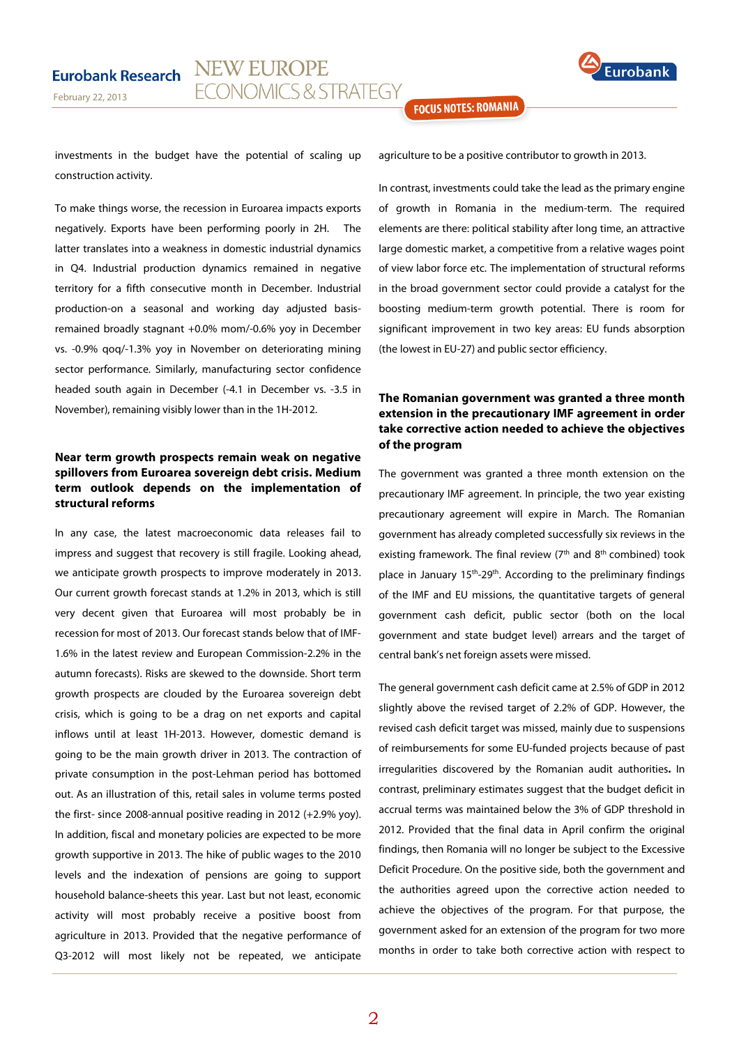

investments in the budget have the potential of scaling up construction activity.

To make things worse, the recession in Euroarea impacts exports negatively. Exports have been performing poorly in 2H. The latter translates into a weakness in domestic industrial dynamics in Q4. Industrial production dynamics remained in negative territory for a fifth consecutive month in December. Industrial production-on a seasonal and working day adjusted basisremained broadly stagnant +0.0% mom/-0.6% yoy in December vs. -0.9% qoq/-1.3% yoy in November on deteriorating mining sector performance. Similarly, manufacturing sector confidence headed south again in December (-4.1 in December vs. -3.5 in November), remaining visibly lower than in the 1H-2012.

## **Near term growth prospects remain weak on negative spillovers from Euroarea sovereign debt crisis. Medium term outlook depends on the implementation of structural reforms**

In any case, the latest macroeconomic data releases fail to impress and suggest that recovery is still fragile. Looking ahead, we anticipate growth prospects to improve moderately in 2013. Our current growth forecast stands at 1.2% in 2013, which is still very decent given that Euroarea will most probably be in recession for most of 2013. Our forecast stands below that of IMF-1.6% in the latest review and European Commission-2.2% in the autumn forecasts). Risks are skewed to the downside. Short term growth prospects are clouded by the Euroarea sovereign debt crisis, which is going to be a drag on net exports and capital inflows until at least 1H-2013. However, domestic demand is going to be the main growth driver in 2013. The contraction of private consumption in the post-Lehman period has bottomed out. As an illustration of this, retail sales in volume terms posted the first- since 2008-annual positive reading in 2012 (+2.9% yoy). In addition, fiscal and monetary policies are expected to be more growth supportive in 2013. The hike of public wages to the 2010 levels and the indexation of pensions are going to support household balance-sheets this year. Last but not least, economic activity will most probably receive a positive boost from agriculture in 2013. Provided that the negative performance of Q3-2012 will most likely not be repeated, we anticipate

agriculture to be a positive contributor to growth in 2013.

**FOCUS NOTES: ROMANIA** 

In contrast, investments could take the lead as the primary engine of growth in Romania in the medium-term. The required elements are there: political stability after long time, an attractive large domestic market, a competitive from a relative wages point of view labor force etc. The implementation of structural reforms in the broad government sector could provide a catalyst for the boosting medium-term growth potential. There is room for significant improvement in two key areas: EU funds absorption (the lowest in EU-27) and public sector efficiency.

## **The Romanian government was granted a three month extension in the precautionary IMF agreement in order take corrective action needed to achieve the objectives of the program**

The government was granted a three month extension on the precautionary IMF agreement. In principle, the two year existing precautionary agreement will expire in March. The Romanian government has already completed successfully six reviews in the existing framework. The final review  $(7<sup>th</sup>$  and  $8<sup>th</sup>$  combined) took place in January 15<sup>th</sup>-29<sup>th</sup>. According to the preliminary findings of the IMF and EU missions, the quantitative targets of general government cash deficit, public sector (both on the local government and state budget level) arrears and the target of central bank's net foreign assets were missed.

The general government cash deficit came at 2.5% of GDP in 2012 slightly above the revised target of 2.2% of GDP. However, the revised cash deficit target was missed, mainly due to suspensions of reimbursements for some EU-funded projects because of past irregularities discovered by the Romanian audit authorities**.** In contrast, preliminary estimates suggest that the budget deficit in accrual terms was maintained below the 3% of GDP threshold in 2012. Provided that the final data in April confirm the original findings, then Romania will no longer be subject to the Excessive Deficit Procedure. On the positive side, both the government and the authorities agreed upon the corrective action needed to achieve the objectives of the program. For that purpose, the government asked for an extension of the program for two more months in order to take both corrective action with respect to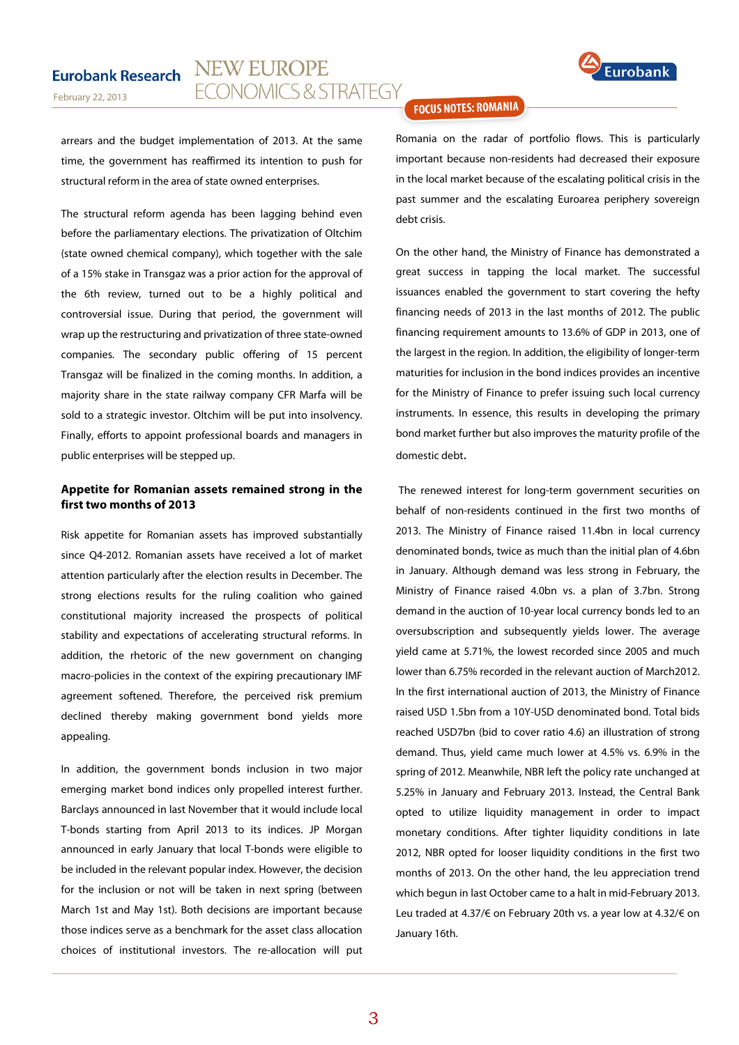

arrears and the budget implementation of 2013. At the same time, the government has reaffirmed its intention to push for structural reform in the area of state owned enterprises.

The structural reform agenda has been lagging behind even before the parliamentary elections. The privatization of Oltchim (state owned chemical company), which together with the sale of a 15% stake in Transgaz was a prior action for the approval of the 6th review, turned out to be a highly political and controversial issue. During that period, the government will wrap up the restructuring and privatization of three state-owned companies. The secondary public offering of 15 percent Transgaz will be finalized in the coming months. In addition, a majority share in the state railway company CFR Marfa will be sold to a strategic investor. Oltchim will be put into insolvency. Finally, efforts to appoint professional boards and managers in public enterprises will be stepped up.

## **Appetite for Romanian assets remained strong in the first two months of 2013**

Risk appetite for Romanian assets has improved substantially since Q4-2012. Romanian assets have received a lot of market attention particularly after the election results in December. The strong elections results for the ruling coalition who gained constitutional majority increased the prospects of political stability and expectations of accelerating structural reforms. In addition, the rhetoric of the new government on changing macro-policies in the context of the expiring precautionary IMF agreement softened. Therefore, the perceived risk premium declined thereby making government bond yields more appealing.

In addition, the government bonds inclusion in two major emerging market bond indices only propelled interest further. Barclays announced in last November that it would include local T-bonds starting from April 2013 to its indices. JP Morgan announced in early January that local T-bonds were eligible to be included in the relevant popular index. However, the decision for the inclusion or not will be taken in next spring (between March 1st and May 1st). Both decisions are important because those indices serve as a benchmark for the asset class allocation choices of institutional investors. The re-allocation will put

# **FOCUS NOTES: ROMANIA**

Romania on the radar of portfolio flows. This is particularly important because non-residents had decreased their exposure in the local market because of the escalating political crisis in the past summer and the escalating Euroarea periphery sovereign debt crisis.

On the other hand, the Ministry of Finance has demonstrated a great success in tapping the local market. The successful issuances enabled the government to start covering the hefty financing needs of 2013 in the last months of 2012. The public financing requirement amounts to 13.6% of GDP in 2013, one of the largest in the region. In addition, the eligibility of longer-term maturities for inclusion in the bond indices provides an incentive for the Ministry of Finance to prefer issuing such local currency instruments. In essence, this results in developing the primary bond market further but also improves the maturity profile of the domestic debt.

The renewed interest for long-term government securities on behalf of non-residents continued in the first two months of 2013. The Ministry of Finance raised 11.4bn in local currency denominated bonds, twice as much than the initial plan of 4.6bn in January. Although demand was less strong in February, the Ministry of Finance raised 4.0bn vs. a plan of 3.7bn. Strong demand in the auction of 10-year local currency bonds led to an oversubscription and subsequently yields lower. The average yield came at 5.71%, the lowest recorded since 2005 and much lower than 6.75% recorded in the relevant auction of March2012. In the first international auction of 2013, the Ministry of Finance raised USD 1.5bn from a 10Y-USD denominated bond. Total bids reached USD7bn (bid to cover ratio 4.6) an illustration of strong demand. Thus, yield came much lower at 4.5% vs. 6.9% in the spring of 2012. Meanwhile, NBR left the policy rate unchanged at 5.25% in January and February 2013. Instead, the Central Bank opted to utilize liquidity management in order to impact monetary conditions. After tighter liquidity conditions in late 2012, NBR opted for looser liquidity conditions in the first two months of 2013. On the other hand, the leu appreciation trend which begun in last October came to a halt in mid-February 2013. Leu traded at 4.37/€ on February 20th vs. a year low at 4.32/€ on January 16th.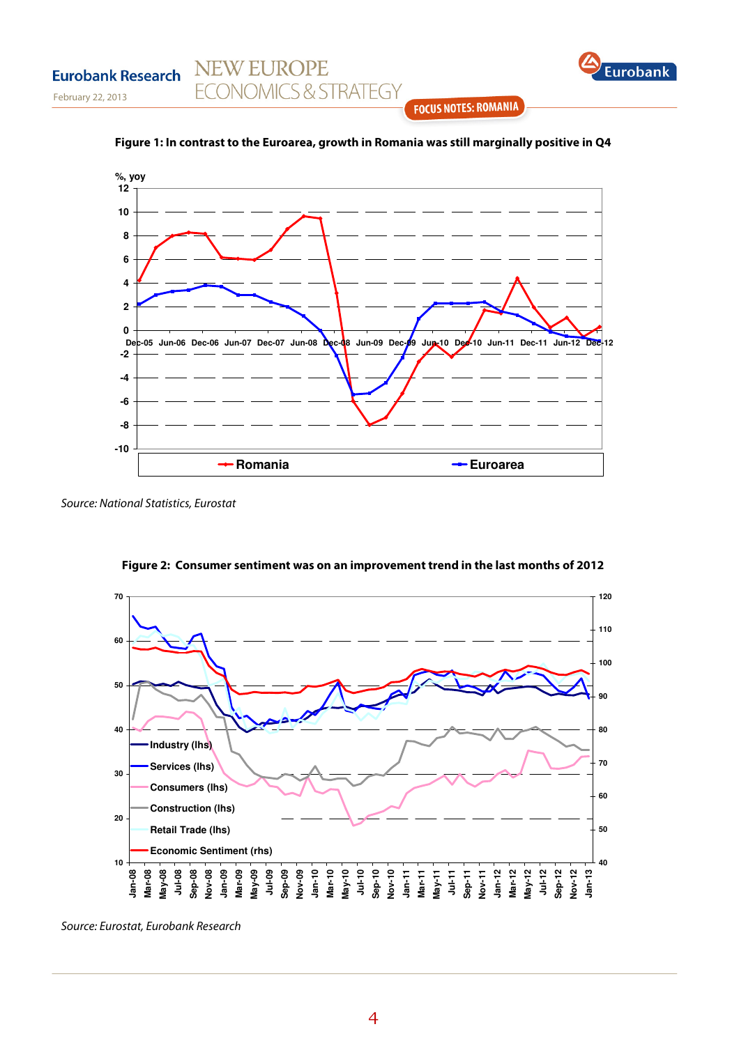**Eurobank Research** 



**FOCUS NOTES: ROMANIA** 



## **Figure 1: In contrast to the Euroarea, growth in Romania was still marginally positive in Q4**

**NEW EUROPE** 

**ECONOMICS & STRATEGY** 



**Figure 2: Consumer sentiment was on an improvement trend in the last months of 2012** 

Source: Eurostat, Eurobank Research

Source: National Statistics, Eurostat